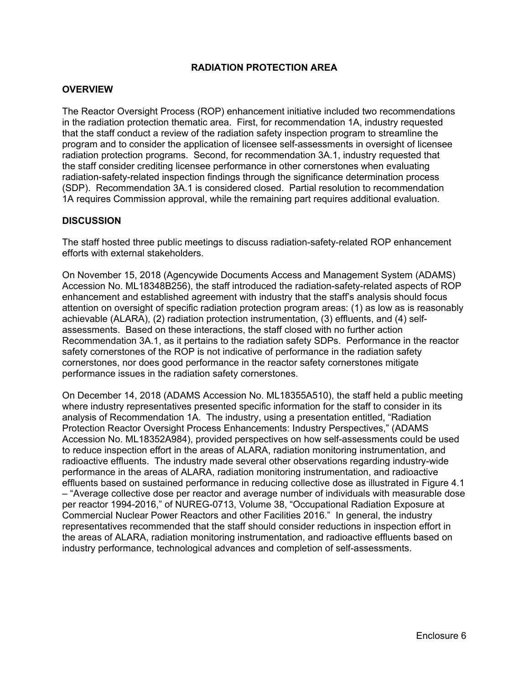# **RADIATION PROTECTION AREA**

### **OVERVIEW**

The Reactor Oversight Process (ROP) enhancement initiative included two recommendations in the radiation protection thematic area. First, for recommendation 1A, industry requested that the staff conduct a review of the radiation safety inspection program to streamline the program and to consider the application of licensee self-assessments in oversight of licensee radiation protection programs. Second, for recommendation 3A.1, industry requested that the staff consider crediting licensee performance in other cornerstones when evaluating radiation-safety-related inspection findings through the significance determination process (SDP). Recommendation 3A.1 is considered closed. Partial resolution to recommendation 1A requires Commission approval, while the remaining part requires additional evaluation.

#### **DISCUSSION**

The staff hosted three public meetings to discuss radiation-safety-related ROP enhancement efforts with external stakeholders.

On November 15, 2018 (Agencywide Documents Access and Management System (ADAMS) Accession No. ML18348B256), the staff introduced the radiation-safety-related aspects of ROP enhancement and established agreement with industry that the staff's analysis should focus attention on oversight of specific radiation protection program areas: (1) as low as is reasonably achievable (ALARA), (2) radiation protection instrumentation, (3) effluents, and (4) selfassessments. Based on these interactions, the staff closed with no further action Recommendation 3A.1, as it pertains to the radiation safety SDPs. Performance in the reactor safety cornerstones of the ROP is not indicative of performance in the radiation safety cornerstones, nor does good performance in the reactor safety cornerstones mitigate performance issues in the radiation safety cornerstones.

On December 14, 2018 (ADAMS Accession No. ML18355A510), the staff held a public meeting where industry representatives presented specific information for the staff to consider in its analysis of Recommendation 1A. The industry, using a presentation entitled, "Radiation Protection Reactor Oversight Process Enhancements: Industry Perspectives," (ADAMS Accession No. ML18352A984), provided perspectives on how self-assessments could be used to reduce inspection effort in the areas of ALARA, radiation monitoring instrumentation, and radioactive effluents. The industry made several other observations regarding industry-wide performance in the areas of ALARA, radiation monitoring instrumentation, and radioactive effluents based on sustained performance in reducing collective dose as illustrated in Figure 4.1 – "Average collective dose per reactor and average number of individuals with measurable dose per reactor 1994-2016," of NUREG-0713, Volume 38, "Occupational Radiation Exposure at Commercial Nuclear Power Reactors and other Facilities 2016." In general, the industry representatives recommended that the staff should consider reductions in inspection effort in the areas of ALARA, radiation monitoring instrumentation, and radioactive effluents based on industry performance, technological advances and completion of self-assessments.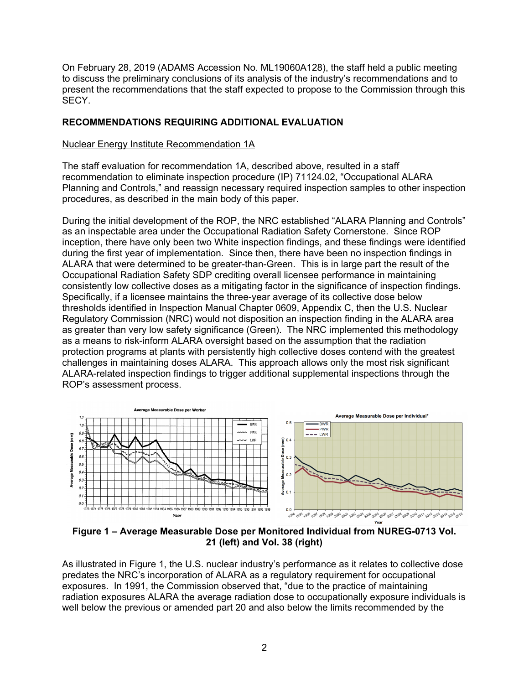On February 28, 2019 (ADAMS Accession No. ML19060A128), the staff held a public meeting to discuss the preliminary conclusions of its analysis of the industry's recommendations and to present the recommendations that the staff expected to propose to the Commission through this SECY.

# **RECOMMENDATIONS REQUIRING ADDITIONAL EVALUATION**

## Nuclear Energy Institute Recommendation 1A

The staff evaluation for recommendation 1A, described above, resulted in a staff recommendation to eliminate inspection procedure (IP) 71124.02, "Occupational ALARA Planning and Controls," and reassign necessary required inspection samples to other inspection procedures, as described in the main body of this paper.

During the initial development of the ROP, the NRC established "ALARA Planning and Controls" as an inspectable area under the Occupational Radiation Safety Cornerstone. Since ROP inception, there have only been two White inspection findings, and these findings were identified during the first year of implementation. Since then, there have been no inspection findings in ALARA that were determined to be greater-than-Green. This is in large part the result of the Occupational Radiation Safety SDP crediting overall licensee performance in maintaining consistently low collective doses as a mitigating factor in the significance of inspection findings. Specifically, if a licensee maintains the three-year average of its collective dose below thresholds identified in Inspection Manual Chapter 0609, Appendix C, then the U.S. Nuclear Regulatory Commission (NRC) would not disposition an inspection finding in the ALARA area as greater than very low safety significance (Green). The NRC implemented this methodology as a means to risk-inform ALARA oversight based on the assumption that the radiation protection programs at plants with persistently high collective doses contend with the greatest challenges in maintaining doses ALARA. This approach allows only the most risk significant ALARA-related inspection findings to trigger additional supplemental inspections through the ROP's assessment process.



**Figure 1 – Average Measurable Dose per Monitored Individual from NUREG-0713 Vol. 21 (left) and Vol. 38 (right)** 

As illustrated in Figure 1, the U.S. nuclear industry's performance as it relates to collective dose predates the NRC's incorporation of ALARA as a regulatory requirement for occupational exposures. In 1991, the Commission observed that, "due to the practice of maintaining radiation exposures ALARA the average radiation dose to occupationally exposure individuals is well below the previous or amended part 20 and also below the limits recommended by the